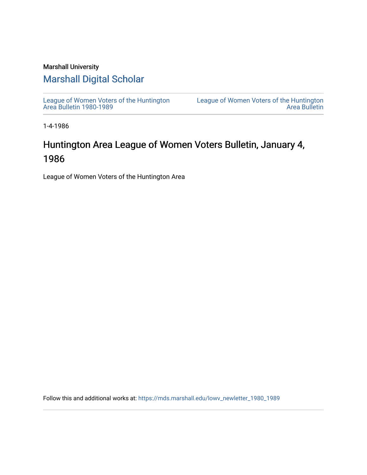### Marshall University

### [Marshall Digital Scholar](https://mds.marshall.edu/)

[League of Women Voters of the Huntington](https://mds.marshall.edu/lowv_newletter_1980_1989) [Area Bulletin 1980-1989](https://mds.marshall.edu/lowv_newletter_1980_1989) 

[League of Women Voters of the Huntington](https://mds.marshall.edu/lowv_newsletter)  [Area Bulletin](https://mds.marshall.edu/lowv_newsletter) 

1-4-1986

## Huntington Area League of Women Voters Bulletin, January 4, 1986

League of Women Voters of the Huntington Area

Follow this and additional works at: [https://mds.marshall.edu/lowv\\_newletter\\_1980\\_1989](https://mds.marshall.edu/lowv_newletter_1980_1989?utm_source=mds.marshall.edu%2Flowv_newletter_1980_1989%2F59&utm_medium=PDF&utm_campaign=PDFCoverPages)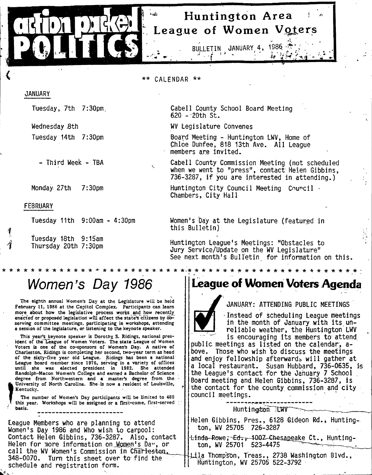## **Huntington Area League of Women Voters**

**Cabell County School Board Meeting**

**Board Meeting - Huntington LWV, Home of Chloe Duhfee, 818 13th Ave. A ll League**

**Cabell County Commission Meeting (not scheduled when we went to "press", contact Helen Gibbins,** 736-3287, if you are interested in attending.)

Huntington City Council Meeting Council ·

**Women's bay at the Legislature (featured in**

**Huntington League's Meetings: "Obstacles to Jury Service/Update on the WV Legislature"**

*ic-k-kic'kic^-kificicic-icicicic'kic'k'k'k'kic'k'kicicicic icicif'k 'kic'k*

See next month's Bulletin for information on this.

BULJLETIN **JANUARY 4, 1S86. ;**

تنشفته

*i \* \** **CALENDAR \* \***

**620 -2 0 th St.**

**WV Legislature Convenes**

members are invited.

**Chambers, City Hall**

**this B ulletin)**

#### **JANUARY**

**Tuesday, 7th 7:30pm.**

**Wednesday Bth Tuesday 14th 7:30pm**

**- Third Week - TBA**

**Monday 27th 7:30pm**

#### **FEBRUARY**

**f**

**Tuesday 11th 9:00am - 4:30pm**

Tuesday 18th 9:15am Thursday 20th 7:30pm

## *Women's Day 1986*

**The eighth annual Women's Day at the Legislature will be held February 11, 1986 at the Capitol Complex. Participants can learn** more about how the legislative process works and how recently **enacted or proposed legislation will affect the state's citizens by 6b^ serving committee meetings, participating in workshops, attending a session of the legislature, or listening to the keynote speaker.**

**This year's^ keynote speaker is Dorothy S. Ridings, national president of the\* League of Women Voters. The state League of Women Voters is one of the co-sponsors of Women's Day. A native of Charleston, Ridings is completing her second, two-year term as head of the sixty-five year old League. Ridings has been a national League board member since 1976, serving in a variety of offices until she was elected president in 1982. She attended Randolph-Macon Women's College and earned a Bachelor of Science degree from Northwestern and a master's degree from the Kentucky.**

University of North Carolina. She is now a resident of Louisville,<br>
Kentucky.<br>
The number of Women's Day participants will be limited to 480<br>
this year. Workshops will be assigned or a first-come, first-served<br>
basis. **The number of Women's Day participants will be limited to 480 this year. Workshops will be assigned or a first-come, first-served basis.**

**League Members who are planning to attend Women's Day 1986 and Who wish to carpool: Contact Helen Gibbins, 736-3287. Also, contact** Helen for more information on Momen's Da<sub>"</sub>, or call the WV Women's Commission in Char<del>lesto</del>n, **348-0070. Turn this sheet over to find the schedule and registration form.**

### **League of Women Voters Agenda**

#### **/ JANUARY: ATTENDING PUBLIC MEETINGS**

**Instead of scheduling League meetings in the month of January with its un**reliable weather, the Huntington LWV **"' is encouraging its members to attend,**

**public meetings as listed on the calendar, aboye. Those who wish to discuss the meetings** and enjoy fellowship afterward<sub>s</sub> will gather at **a local restaurant. Susan Hubbard, 736-0635, is** the League's contact for the January 7 School **Board meeting and Helen Gibbins, 736-3287, is** the contact for the county commission and city **council meetings. ' .**

Huntington **IWV** 

**Helen Gibbins, Pres., 6128 Gideon Rd.j Huntingr ton, WV 25705 726-3287**

tinda-Rowe<del>, Ed., 1</del>00Z-Chesa<u>pe</u>ake Ct., Hunting**ton, WV 25701 523-4475 ^**

**"'-L ila Thomp'S'on, Treas., 2738 Washington Blvd., Huntington, WV 25705 522-3792**